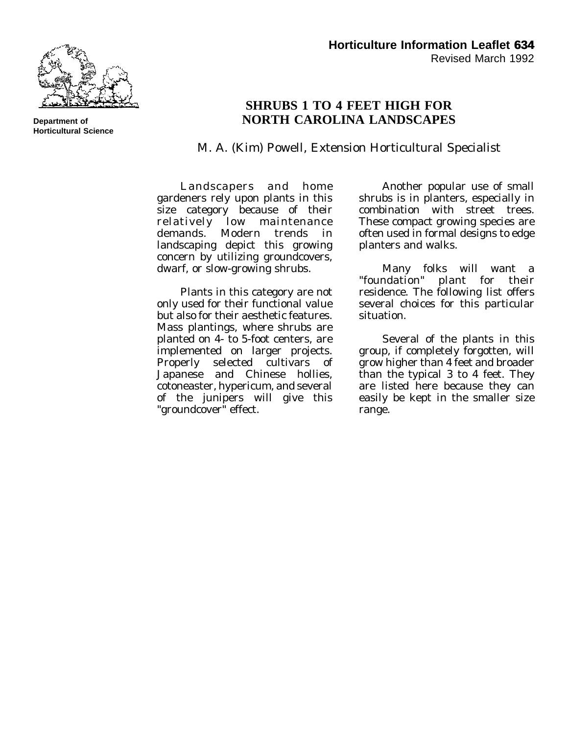

**Department of Horticultural Science**

## **SHRUBS 1 TO 4 FEET HIGH FOR NORTH CAROLINA LANDSCAPES**

M. A. (Kim) Powell, Extension Horticultural Specialist

Landscapers and home gardeners rely upon plants in this size category because of their relatively low maintenance demands. Modern trends in landscaping depict this growing concern by utilizing groundcovers, dwarf, or slow-growing shrubs.

Plants in this category are not only used for their functional value but also for their aesthetic features. Mass plantings, where shrubs are planted on 4- to 5-foot centers, are implemented on larger projects. Properly selected cultivars of Japanese and Chinese hollies, cotoneaster, hypericum, and several of the junipers will give this "groundcover" effect.

Another popular use of small shrubs is in planters, especially in combination with street trees. These compact growing species are often used in formal designs to edge planters and walks.

Many folks will want a "foundation" plant for their residence. The following list offers several choices for this particular situation.

Several of the plants in this group, if completely forgotten, will grow higher than 4 feet and broader than the typical 3 to 4 feet. They are listed here because they can easily be kept in the smaller size range.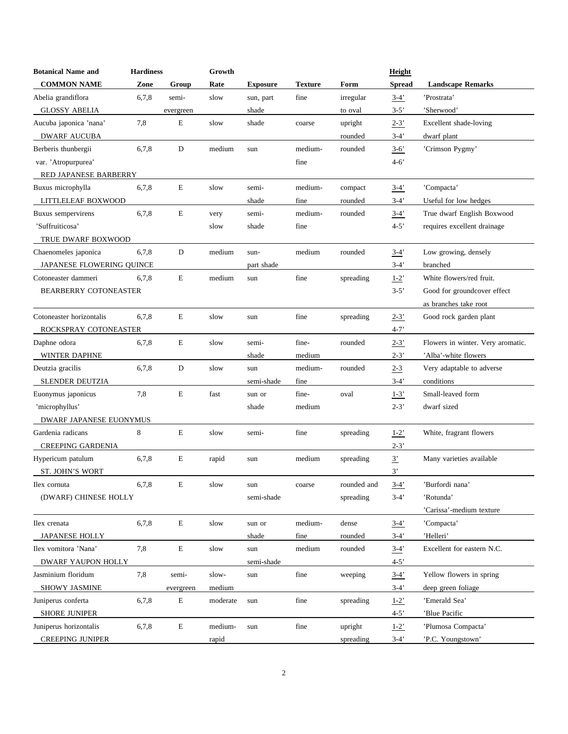| <b>Botanical Name and</b>    | <b>Hardiness</b> |             | Growth   |                 |                |             | Height               |                                   |
|------------------------------|------------------|-------------|----------|-----------------|----------------|-------------|----------------------|-----------------------------------|
| <b>COMMON NAME</b>           | Zone             | Group       | Rate     | <b>Exposure</b> | <b>Texture</b> | Form        | Spread               | <b>Landscape Remarks</b>          |
| Abelia grandiflora           | 6,7,8            | semi-       | slow     | sun, part       | fine           | irregular   | $3 - 4'$             | 'Prostrata'                       |
| <b>GLOSSY ABELIA</b>         |                  | evergreen   |          | shade           |                | to oval     | $3 - 5'$             | 'Sherwood'                        |
| Aucuba japonica 'nana'       | 7,8              | E           | slow     | shade           | coarse         | upright     | $2 - 3'$             | Excellent shade-loving            |
| <b>DWARF AUCUBA</b>          |                  |             |          |                 |                | rounded     | $3-4'$               | dwarf plant                       |
| Berberis thunbergii          | 6,7,8            | D           | medium   | sun             | medium-        | rounded     | $3 - 6'$             | 'Crimson Pygmy'                   |
| var. 'Atropurpurea'          |                  |             |          |                 | fine           |             | $4 - 6'$             |                                   |
| RED JAPANESE BARBERRY        |                  |             |          |                 |                |             |                      |                                   |
| Buxus microphylla            | 6,7,8            | $\mathbf E$ | slow     | semi-           | medium-        | compact     | $3-4'$               | 'Compacta'                        |
| LITTLELEAF BOXWOOD           |                  |             |          | shade           | fine           | rounded     | $3-4'$               | Useful for low hedges             |
| Buxus sempervirens           | 6,7,8            | E           | very     | semi-           | medium-        | rounded     | $3-4'$               | True dwarf English Boxwood        |
| 'Suffruiticosa'              |                  |             | slow     | shade           | fine           |             | $4 - 5'$             | requires excellent drainage       |
| TRUE DWARF BOXWOOD           |                  |             |          |                 |                |             |                      |                                   |
| Chaenomeles japonica         | 6.7.8            | D           | medium   | sun-            | medium         | rounded     | $3-4'$               | Low growing, densely              |
| JAPANESE FLOWERING QUINCE    |                  |             |          | part shade      |                |             | $3-4'$               | branched                          |
| Cotoneaster dammeri          | 6,7,8            | $\mathbf E$ | medium   | sun             | fine           | spreading   | $1 - 2'$             | White flowers/red fruit.          |
| <b>BEARBERRY COTONEASTER</b> |                  |             |          |                 |                |             | $3 - 5'$             | Good for groundcover effect       |
|                              |                  |             |          |                 |                |             |                      | as branches take root             |
| Cotoneaster horizontalis     | 6,7,8            | E           | slow     | sun             | fine           | spreading   | $2 - 3'$             | Good rock garden plant            |
| ROCKSPRAY COTONEASTER        |                  |             |          |                 |                |             | $4 - 7'$             |                                   |
| Daphne odora                 | 6,7,8            | E           | slow     | semi-           | fine-          | rounded     | $2 - 3'$             | Flowers in winter. Very aromatic. |
| <b>WINTER DAPHNE</b>         |                  |             |          | shade           | medium         |             | $2 - 3'$             | 'Alba'-white flowers              |
| Deutzia gracilis             | 6,7,8            | D           | slow     | sun             | medium-        | rounded     | $2 - 3$              | Very adaptable to adverse         |
| SLENDER DEUTZIA              |                  |             |          | semi-shade      | fine           |             | $3-4'$               | conditions                        |
| Euonymus japonicus           | 7,8              | E           | fast     | sun or          | fine-          | oval        | $1 - 3'$             | Small-leaved form                 |
| 'microphyllus'               |                  |             |          | shade           | medium         |             | $2 - 3'$             | dwarf sized                       |
| DWARF JAPANESE EUONYMUS      |                  |             |          |                 |                |             |                      |                                   |
| Gardenia radicans            | 8                | E           | slow     | semi-           | fine           | spreading   | $1-2$ <sup>'</sup>   | White, fragrant flowers           |
| CREEPING GARDENIA            |                  |             |          |                 |                |             | $2 - 3'$             |                                   |
| Hypericum patulum            | 6,7,8            | E           | rapid    | sun             | medium         | spreading   | $\frac{3}{2}$        | Many varieties available          |
| <b>ST. JOHN'S WORT</b>       |                  |             |          |                 |                |             | 3'                   |                                   |
| Ilex cornuta                 | 6,7,8            | Е           | slow     | sun             | coarse         | rounded and | $3-4'$               | 'Burfordi nana'                   |
| (DWARF) CHINESE HOLLY        |                  |             |          | semi-shade      |                | spreading   | $3-4'$               | 'Rotunda'                         |
|                              |                  |             |          |                 |                |             |                      | 'Carissa'-medium texture          |
| Ilex crenata                 | 6,7,8            | $\mathbf E$ | slow     | sun or          | medium-        | dense       | $3-4'$               | 'Compacta'                        |
| <b>JAPANESE HOLLY</b>        |                  |             |          | shade           | fine           | rounded     | $3-4'$               | 'Helleri'                         |
| Ilex vomitora 'Nana'         | 7,8              | ${\bf E}$   | slow     | sun             | medium         | rounded     | $3 - 4'$             | Excellent for eastern N.C.        |
| DWARF YAUPON HOLLY           |                  |             |          | semi-shade      |                |             | $4 - 5'$             |                                   |
| Jasminium floridum           | 7,8              | semi-       | slow-    | sun             | fine           | weeping     | $3-4'$               | Yellow flowers in spring          |
| SHOWY JASMINE                |                  | evergreen   | medium   |                 |                |             | $3-4'$               | deep green foliage                |
| Juniperus conferta           | 6,7,8            | E           | moderate | sun             | fine           | spreading   | $1 - 2$ <sup>'</sup> | 'Emerald Sea'                     |
| <b>SHORE JUNIPER</b>         |                  |             |          |                 |                |             | $4 - 5'$             | 'Blue Pacific                     |
| Juniperus horizontalis       | 6,7,8            | E           | medium-  | sun             | fine           | upright     | $1-2$ <sup>'</sup>   | 'Plumosa Compacta'                |
| <b>CREEPING JUNIPER</b>      |                  |             | rapid    |                 |                | spreading   | $3-4'$               | 'P.C. Youngstown'                 |